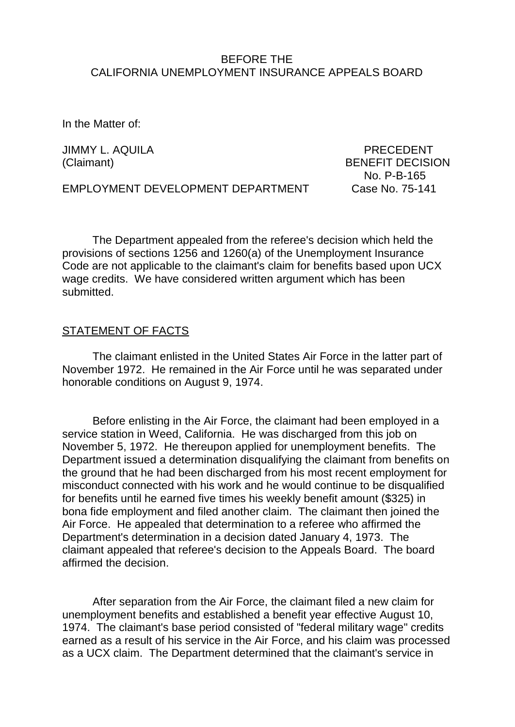#### BEFORE THE CALIFORNIA UNEMPLOYMENT INSURANCE APPEALS BOARD

In the Matter of:

JIMMY L. AQUILA PRECEDENT

(Claimant) BENEFIT DECISION No. P-B-165

EMPLOYMENT DEVELOPMENT DEPARTMENT Case No. 75-141

The Department appealed from the referee's decision which held the provisions of sections 1256 and 1260(a) of the Unemployment Insurance Code are not applicable to the claimant's claim for benefits based upon UCX wage credits. We have considered written argument which has been submitted.

#### STATEMENT OF FACTS

The claimant enlisted in the United States Air Force in the latter part of November 1972. He remained in the Air Force until he was separated under honorable conditions on August 9, 1974.

Before enlisting in the Air Force, the claimant had been employed in a service station in Weed, California. He was discharged from this job on November 5, 1972. He thereupon applied for unemployment benefits. The Department issued a determination disqualifying the claimant from benefits on the ground that he had been discharged from his most recent employment for misconduct connected with his work and he would continue to be disqualified for benefits until he earned five times his weekly benefit amount (\$325) in bona fide employment and filed another claim. The claimant then joined the Air Force. He appealed that determination to a referee who affirmed the Department's determination in a decision dated January 4, 1973. The claimant appealed that referee's decision to the Appeals Board. The board affirmed the decision.

After separation from the Air Force, the claimant filed a new claim for unemployment benefits and established a benefit year effective August 10, 1974. The claimant's base period consisted of "federal military wage" credits earned as a result of his service in the Air Force, and his claim was processed as a UCX claim. The Department determined that the claimant's service in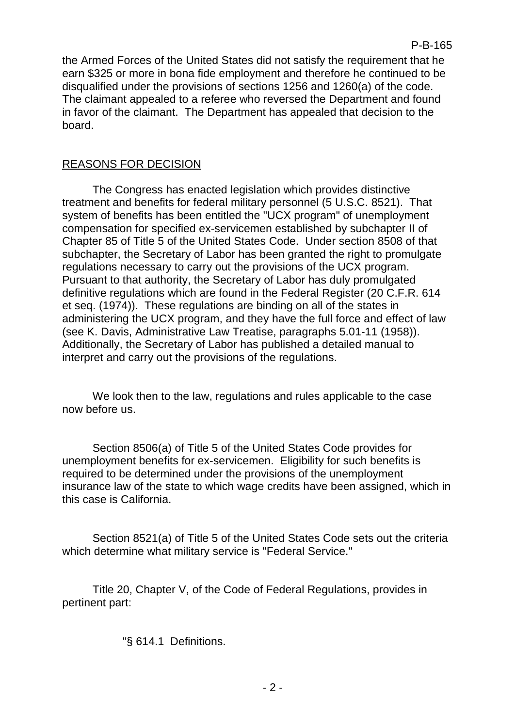the Armed Forces of the United States did not satisfy the requirement that he earn \$325 or more in bona fide employment and therefore he continued to be disqualified under the provisions of sections 1256 and 1260(a) of the code. The claimant appealed to a referee who reversed the Department and found in favor of the claimant. The Department has appealed that decision to the board.

## REASONS FOR DECISION

The Congress has enacted legislation which provides distinctive treatment and benefits for federal military personnel (5 U.S.C. 8521). That system of benefits has been entitled the "UCX program" of unemployment compensation for specified ex-servicemen established by subchapter II of Chapter 85 of Title 5 of the United States Code. Under section 8508 of that subchapter, the Secretary of Labor has been granted the right to promulgate regulations necessary to carry out the provisions of the UCX program. Pursuant to that authority, the Secretary of Labor has duly promulgated definitive regulations which are found in the Federal Register (20 C.F.R. 614 et seq. (1974)). These regulations are binding on all of the states in administering the UCX program, and they have the full force and effect of law (see K. Davis, Administrative Law Treatise, paragraphs 5.01-11 (1958)). Additionally, the Secretary of Labor has published a detailed manual to interpret and carry out the provisions of the regulations.

We look then to the law, regulations and rules applicable to the case now before us.

Section 8506(a) of Title 5 of the United States Code provides for unemployment benefits for ex-servicemen. Eligibility for such benefits is required to be determined under the provisions of the unemployment insurance law of the state to which wage credits have been assigned, which in this case is California.

Section 8521(a) of Title 5 of the United States Code sets out the criteria which determine what military service is "Federal Service."

Title 20, Chapter V, of the Code of Federal Regulations, provides in pertinent part:

"§ 614.1 Definitions.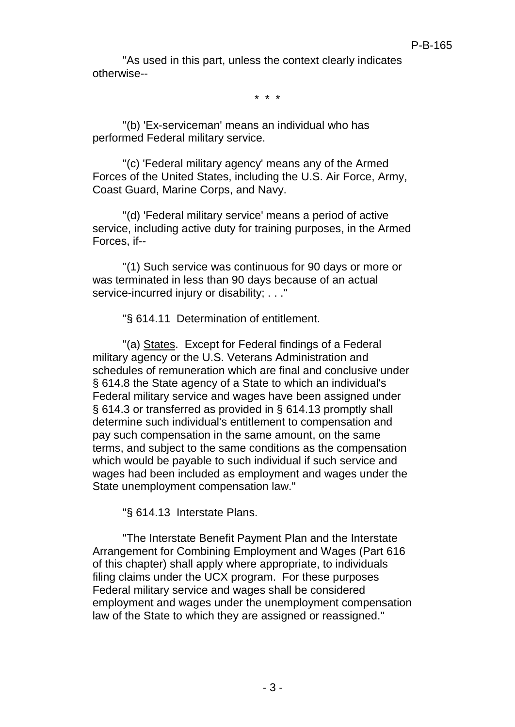"As used in this part, unless the context clearly indicates otherwise--

\* \* \*

"(b) 'Ex-serviceman' means an individual who has performed Federal military service.

"(c) 'Federal military agency' means any of the Armed Forces of the United States, including the U.S. Air Force, Army, Coast Guard, Marine Corps, and Navy.

"(d) 'Federal military service' means a period of active service, including active duty for training purposes, in the Armed Forces, if--

"(1) Such service was continuous for 90 days or more or was terminated in less than 90 days because of an actual service-incurred injury or disability: . . ."

"§ 614.11 Determination of entitlement.

"(a) States. Except for Federal findings of a Federal military agency or the U.S. Veterans Administration and schedules of remuneration which are final and conclusive under § 614.8 the State agency of a State to which an individual's Federal military service and wages have been assigned under § 614.3 or transferred as provided in § 614.13 promptly shall determine such individual's entitlement to compensation and pay such compensation in the same amount, on the same terms, and subject to the same conditions as the compensation which would be payable to such individual if such service and wages had been included as employment and wages under the State unemployment compensation law."

"§ 614.13 Interstate Plans.

"The Interstate Benefit Payment Plan and the Interstate Arrangement for Combining Employment and Wages (Part 616 of this chapter) shall apply where appropriate, to individuals filing claims under the UCX program. For these purposes Federal military service and wages shall be considered employment and wages under the unemployment compensation law of the State to which they are assigned or reassigned."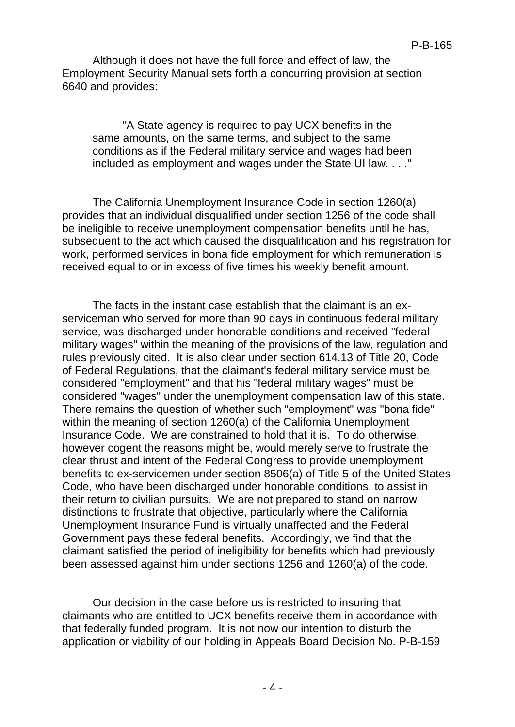Although it does not have the full force and effect of law, the Employment Security Manual sets forth a concurring provision at section 6640 and provides:

"A State agency is required to pay UCX benefits in the same amounts, on the same terms, and subject to the same conditions as if the Federal military service and wages had been included as employment and wages under the State UI law. . . ."

The California Unemployment Insurance Code in section 1260(a) provides that an individual disqualified under section 1256 of the code shall be ineligible to receive unemployment compensation benefits until he has, subsequent to the act which caused the disqualification and his registration for work, performed services in bona fide employment for which remuneration is received equal to or in excess of five times his weekly benefit amount.

The facts in the instant case establish that the claimant is an exserviceman who served for more than 90 days in continuous federal military service, was discharged under honorable conditions and received "federal military wages" within the meaning of the provisions of the law, regulation and rules previously cited. It is also clear under section 614.13 of Title 20, Code of Federal Regulations, that the claimant's federal military service must be considered "employment" and that his "federal military wages" must be considered "wages" under the unemployment compensation law of this state. There remains the question of whether such "employment" was "bona fide" within the meaning of section 1260(a) of the California Unemployment Insurance Code. We are constrained to hold that it is. To do otherwise, however cogent the reasons might be, would merely serve to frustrate the clear thrust and intent of the Federal Congress to provide unemployment benefits to ex-servicemen under section 8506(a) of Title 5 of the United States Code, who have been discharged under honorable conditions, to assist in their return to civilian pursuits. We are not prepared to stand on narrow distinctions to frustrate that objective, particularly where the California Unemployment Insurance Fund is virtually unaffected and the Federal Government pays these federal benefits. Accordingly, we find that the claimant satisfied the period of ineligibility for benefits which had previously been assessed against him under sections 1256 and 1260(a) of the code.

Our decision in the case before us is restricted to insuring that claimants who are entitled to UCX benefits receive them in accordance with that federally funded program. It is not now our intention to disturb the application or viability of our holding in Appeals Board Decision No. P-B-159